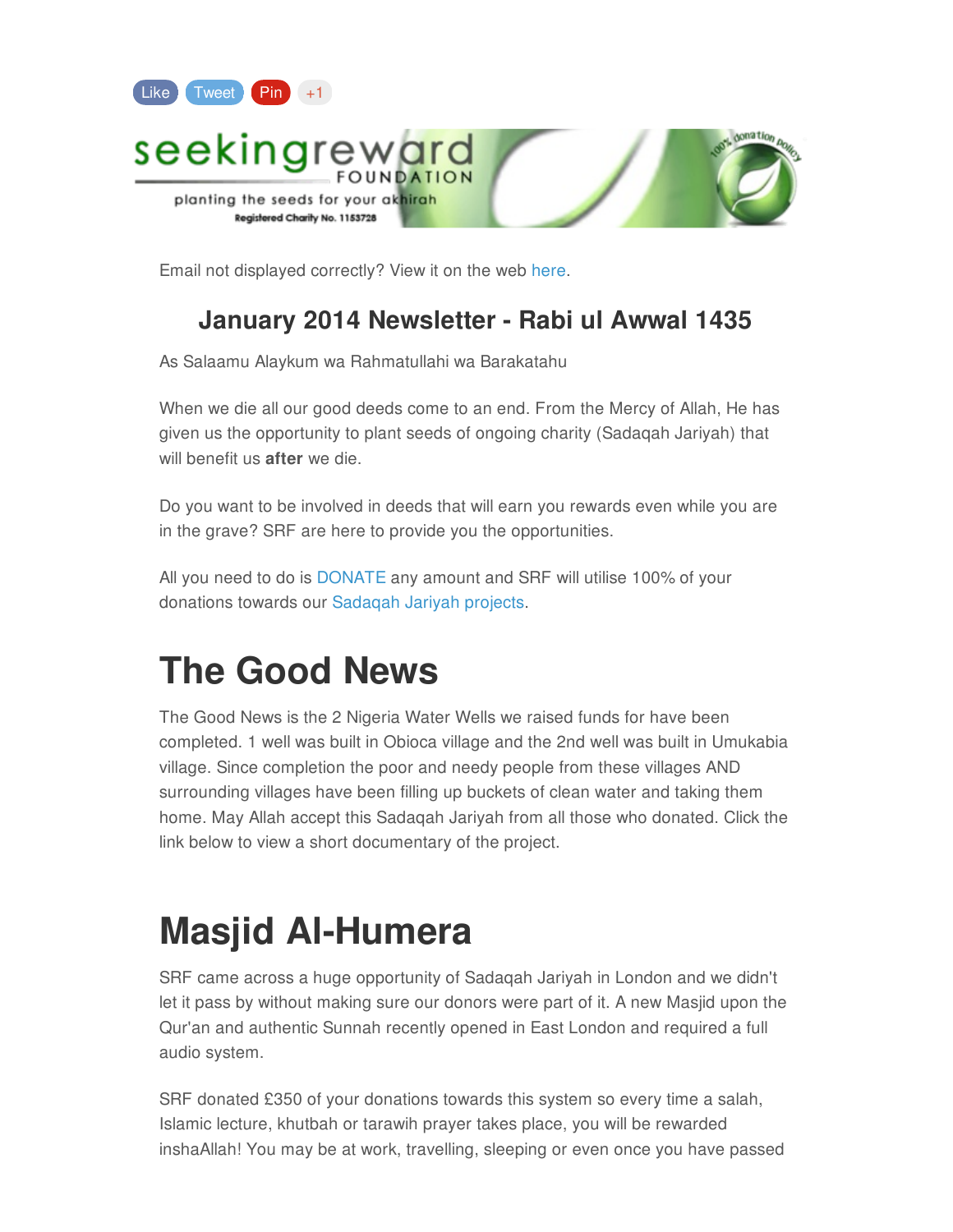

Email not displayed correctly? View it on the web [here](https://madmimi.com/p/196764?fe=1&pact=0).

#### **January 2014 Newsletter - Rabi ul Awwal 1435**

As Salaamu Alaykum wa Rahmatullahi wa Barakatahu

When we die all our good deeds come to an end. From the Mercy of Allah, He has given us the opportunity to plant seeds of ongoing charity (Sadaqah Jariyah) that will benefit us **after** we die.

Do you want to be involved in deeds that will earn you rewards even while you are in the grave? SRF are here to provide you the opportunities.

All you need to do is [DONATE](http://www.seekingreward.org/donate) any amount and SRF will utilise 100% of your donations towards our [Sadaqah](http://www.seekingreward.org/projects) Jariyah projects.

### **The Good News**

The Good News is the 2 Nigeria Water Wells we raised funds for have been completed. 1 well was built in Obioca village and the 2nd well was built in Umukabia village. Since completion the poor and needy people from these villages AND surrounding villages have been filling up buckets of clean water and taking them home. May Allah accept this Sadaqah Jariyah from all those who donated. Click the link below to view a short documentary of the project.

### **Masjid Al-Humera**

SRF came across a huge opportunity of Sadaqah Jariyah in London and we didn't let it pass by without making sure our donors were part of it. A new Masjid upon the Qur'an and authentic Sunnah recently opened in East London and required a full audio system.

SRF donated £350 of your donations towards this system so every time a salah, Islamic lecture, khutbah or tarawih prayer takes place, you will be rewarded inshaAllah! You may be at work, travelling, sleeping or even once you have passed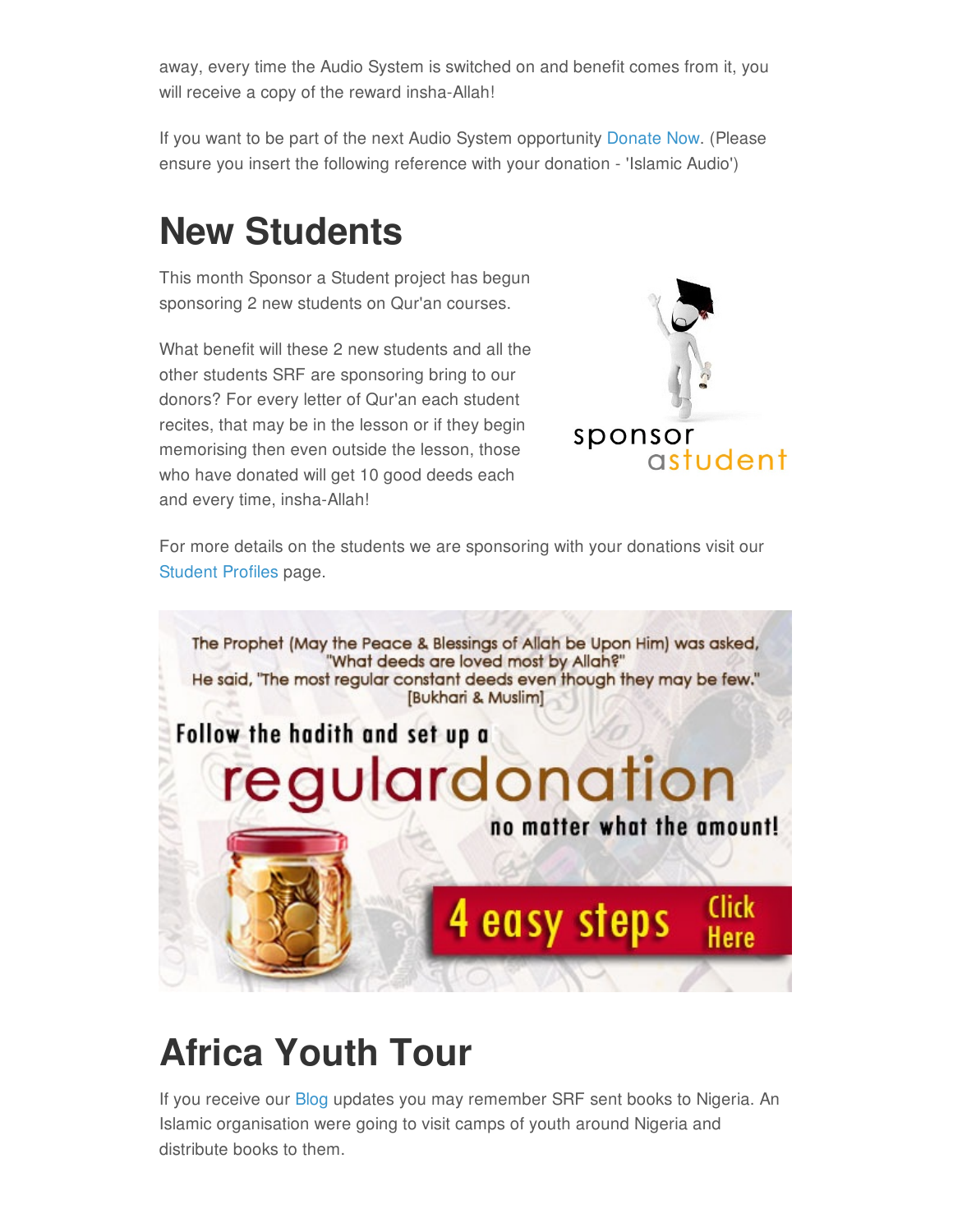away, every time the Audio System is switched on and benefit comes from it, you will receive a copy of the reward insha-Allah!

If you want to be part of the next Audio System opportunity [Donate](http://www.seekingreward.org/donate) Now. (Please ensure you insert the following reference with your donation - 'Islamic Audio')

## **New Students**

This month Sponsor a Student project has begun sponsoring 2 new students on Qur'an courses.

What benefit will these 2 new students and all the other students SRF are sponsoring bring to our donors? For every letter of Qur'an each student recites, that may be in the lesson or if they begin memorising then even outside the lesson, those who have donated will get 10 good deeds each and every time, insha-Allah!



For more details on the students we are sponsoring with your donations visit our [Student](http://www.seekingreward.org/student-profiles.html) Profiles page.



# **Africa Youth Tour**

If you receive our [Blog](http://www.seekingreward.org/blog) updates you may remember SRF sent books to Nigeria. An Islamic organisation were going to visit camps of youth around Nigeria and distribute books to them.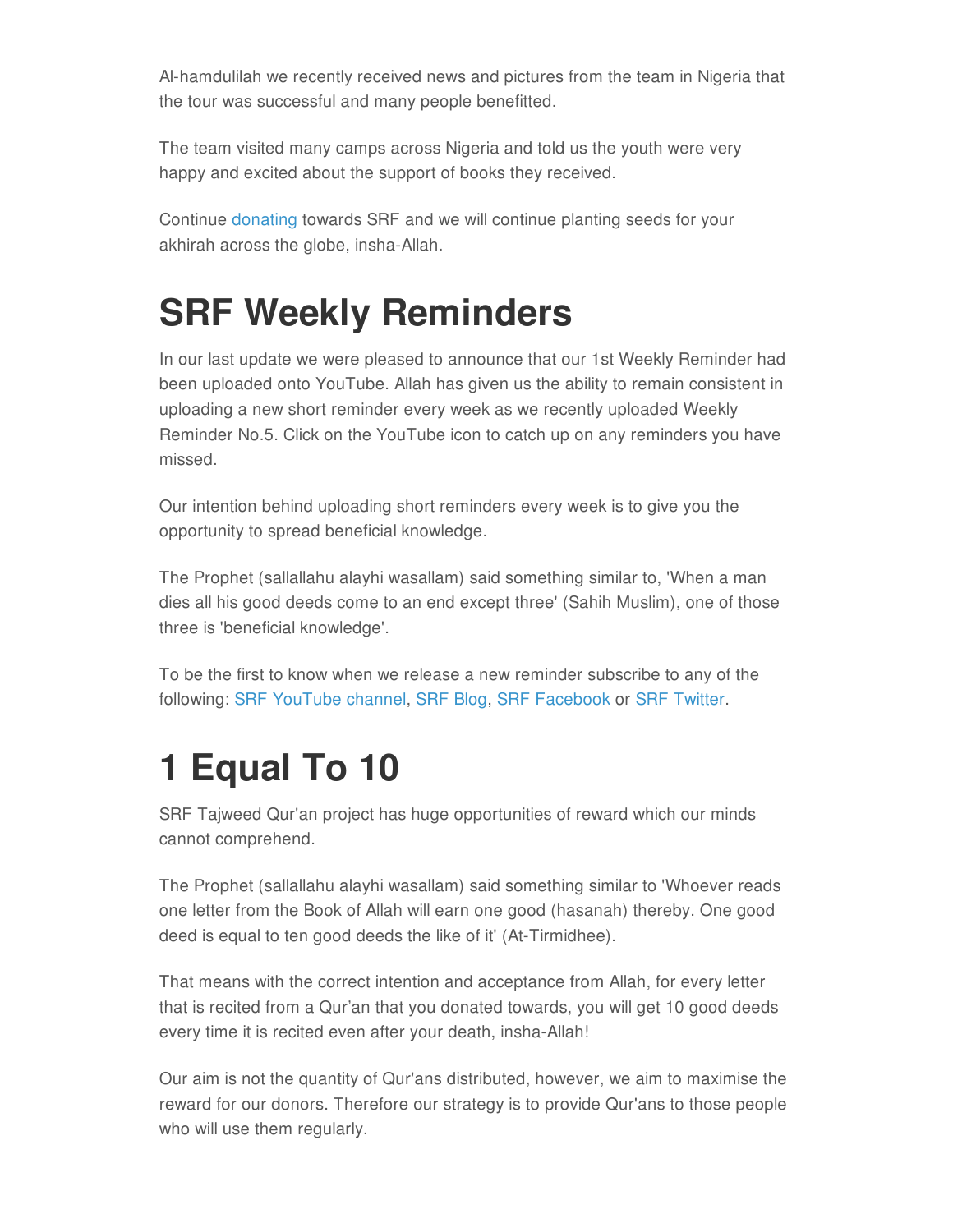Al-hamdulilah we recently received news and pictures from the team in Nigeria that the tour was successful and many people benefitted.

The team visited many camps across Nigeria and told us the youth were very happy and excited about the support of books they received.

Continue [donating](http://www.seekingreward.org/donate) towards SRF and we will continue planting seeds for your akhirah across the globe, insha-Allah.

## **SRF Weekly Reminders**

In our last update we were pleased to announce that our 1st Weekly Reminder had been uploaded onto YouTube. Allah has given us the ability to remain consistent in uploading a new short reminder every week as we recently uploaded Weekly Reminder No.5. Click on the YouTube icon to catch up on any reminders you have missed.

Our intention behind uploading short reminders every week is to give you the opportunity to spread beneficial knowledge.

The Prophet (sallallahu alayhi wasallam) said something similar to, 'When a man dies all his good deeds come to an end except three' (Sahih Muslim), one of those three is 'beneficial knowledge'.

To be the first to know when we release a new reminder subscribe to any of the following: SRF [YouTube](http://www.youtube.com/channel/UCqjiPbncNdP4VfBx4-jK_SA) channel, [SRF](http://www.seekingreward.org/blog.html) Blog, SRF [Facebook](https://www.facebook.com/seekingrewardfoundation) or SRF [Twitter](https://twitter.com/seekingreward).

# **1 Equal To 10**

SRF Tajweed Qur'an project has huge opportunities of reward which our minds cannot comprehend.

The Prophet (sallallahu alayhi wasallam) said something similar to 'Whoever reads one letter from the Book of Allah will earn one good (hasanah) thereby. One good deed is equal to ten good deeds the like of it' (At-Tirmidhee).

That means with the correct intention and acceptance from Allah, for every letter that is recited from a Qur'an that you donated towards, you will get 10 good deeds every time it is recited even after your death, insha-Allah!

Our aim is not the quantity of Qur'ans distributed, however, we aim to maximise the reward for our donors. Therefore our strategy is to provide Qur'ans to those people who will use them regularly.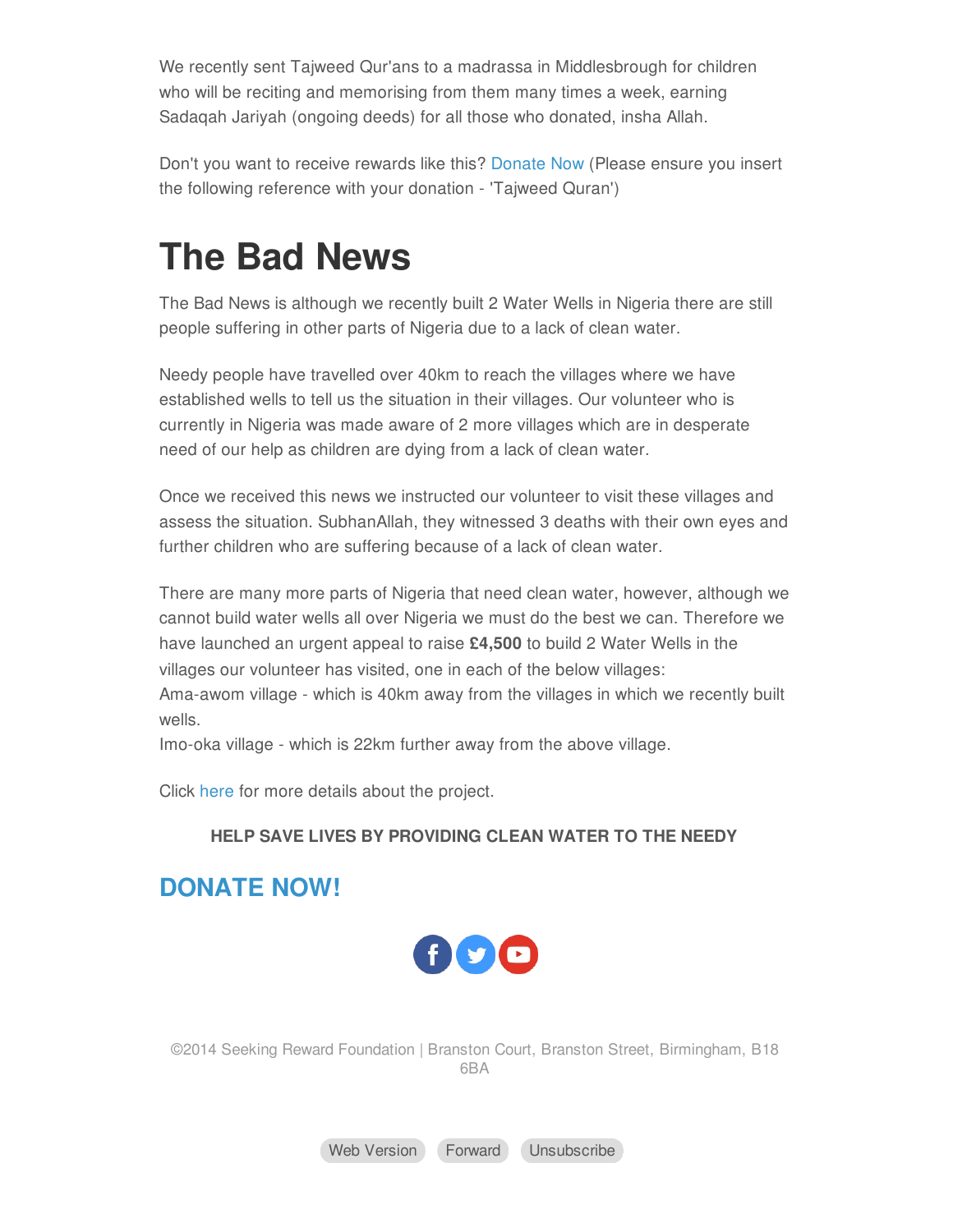We recently sent Tajweed Qur'ans to a madrassa in Middlesbrough for children who will be reciting and memorising from them many times a week, earning Sadaqah Jariyah (ongoing deeds) for all those who donated, insha Allah.

Don't you want to receive rewards like this? [Donate](http://www.seekingreward.org/donate) Now (Please ensure you insert the following reference with your donation - 'Tajweed Quran')

### **The Bad News**

The Bad News is although we recently built 2 Water Wells in Nigeria there are still people suffering in other parts of Nigeria due to a lack of clean water.

Needy people have travelled over 40km to reach the villages where we have established wells to tell us the situation in their villages. Our volunteer who is currently in Nigeria was made aware of 2 more villages which are in desperate need of our help as children are dying from a lack of clean water.

Once we received this news we instructed our volunteer to visit these villages and assess the situation. SubhanAllah, they witnessed 3 deaths with their own eyes and further children who are suffering because of a lack of clean water.

There are many more parts of Nigeria that need clean water, however, although we cannot build water wells all over Nigeria we must do the best we can. Therefore we have launched an urgent appeal to raise **£4,500** to build 2 Water Wells in the villages our volunteer has visited, one in each of the below villages: Ama-awom village - which is 40km away from the villages in which we recently built wells.

Imo-oka village - which is 22km further away from the above village.

Click [here](http://www.justgiving.com/srfnigeriapart2) for more details about the project.

#### **HELP SAVE LIVES BY PROVIDING CLEAN WATER TO THE NEEDY**

#### **[DONATE](http://www.justgiving.com/srfnigeriapart2) NOW!**



©2014 Seeking Reward Foundation | Branston Court, Branston Street, Birmingham, B18 6BA

Web [Version](https://madmimi.com/p/196764?fe=1&pact=0) [Forward](https://go.madmimi.com/forward/0?fe=1&pact=0&amx=0) [Unsubscribe](https://go.madmimi.com/opt_out?fe=1&pact=0)